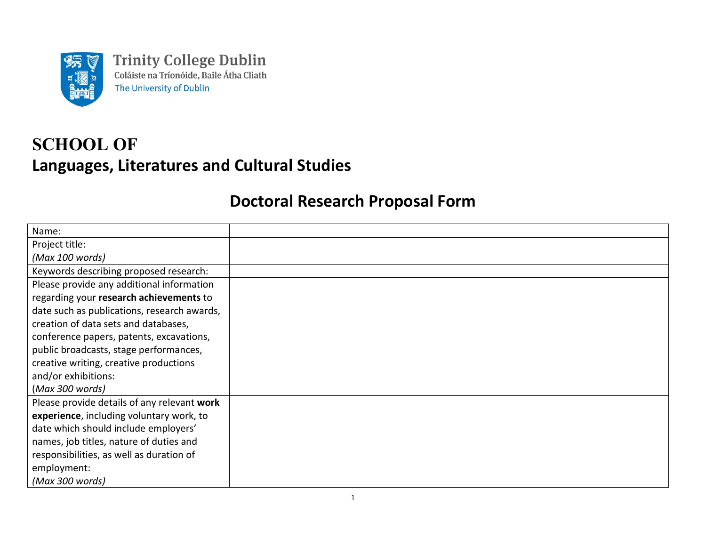

**Trinity College Dublin** Coláiste na Tríonóide, Baile Átha Cliath The University of Dublin

## **SCHOOL OF Languages, Literatures and Cultural Studies**

## **Doctoral Research Proposal Form**

| Name:                                       |  |
|---------------------------------------------|--|
| Project title:                              |  |
| (Max 100 words)                             |  |
| Keywords describing proposed research:      |  |
| Please provide any additional information   |  |
| regarding your research achievements to     |  |
| date such as publications, research awards, |  |
| creation of data sets and databases,        |  |
| conference papers, patents, excavations,    |  |
| public broadcasts, stage performances,      |  |
| creative writing, creative productions      |  |
| and/or exhibitions:                         |  |
| (Max 300 words)                             |  |
| Please provide details of any relevant work |  |
| experience, including voluntary work, to    |  |
| date which should include employers'        |  |
| names, job titles, nature of duties and     |  |
| responsibilities, as well as duration of    |  |
| employment:                                 |  |
| (Max 300 words)                             |  |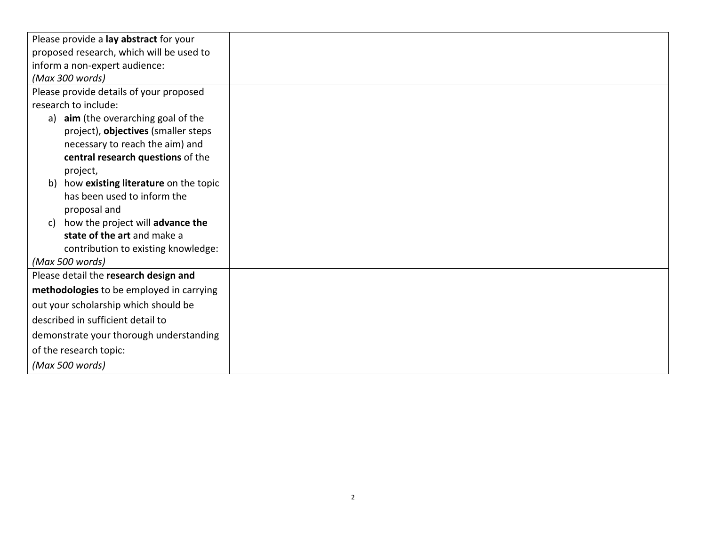| Please provide a lay abstract for your     |  |
|--------------------------------------------|--|
| proposed research, which will be used to   |  |
| inform a non-expert audience:              |  |
| (Max 300 words)                            |  |
| Please provide details of your proposed    |  |
| research to include:                       |  |
| a) aim (the overarching goal of the        |  |
| project), objectives (smaller steps        |  |
| necessary to reach the aim) and            |  |
| central research questions of the          |  |
| project,                                   |  |
| how existing literature on the topic<br>b) |  |
| has been used to inform the                |  |
| proposal and                               |  |
| c) how the project will advance the        |  |
| state of the art and make a                |  |
| contribution to existing knowledge:        |  |
| (Max 500 words)                            |  |
| Please detail the research design and      |  |
| methodologies to be employed in carrying   |  |
| out your scholarship which should be       |  |
| described in sufficient detail to          |  |
| demonstrate your thorough understanding    |  |
| of the research topic:                     |  |
| (Max 500 words)                            |  |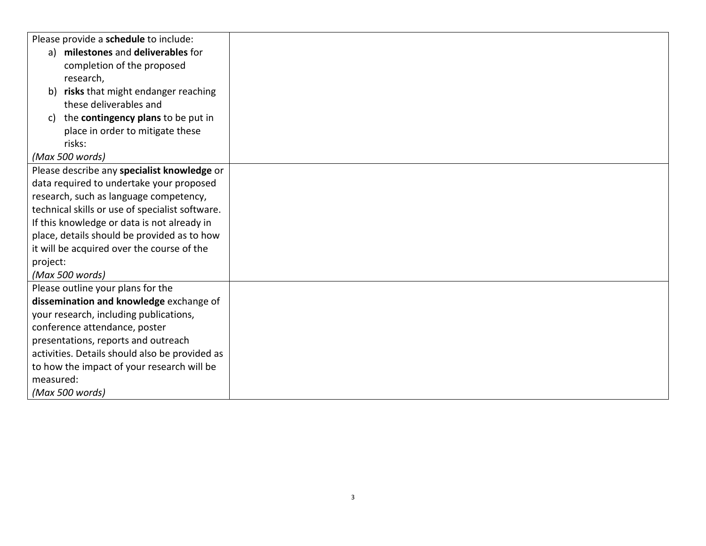|                                             | Please provide a schedule to include:           |
|---------------------------------------------|-------------------------------------------------|
|                                             | a) milestones and deliverables for              |
|                                             | completion of the proposed                      |
|                                             | research,                                       |
|                                             | b) risks that might endanger reaching           |
|                                             | these deliverables and                          |
|                                             | c) the contingency plans to be put in           |
|                                             | place in order to mitigate these                |
|                                             | risks:                                          |
|                                             | (Max 500 words)                                 |
|                                             | Please describe any specialist knowledge or     |
|                                             | data required to undertake your proposed        |
|                                             | research, such as language competency,          |
|                                             | technical skills or use of specialist software. |
|                                             | If this knowledge or data is not already in     |
| place, details should be provided as to how |                                                 |
|                                             | it will be acquired over the course of the      |
| project:                                    |                                                 |
| (Max 500 words)                             |                                                 |
|                                             | Please outline your plans for the               |
|                                             | dissemination and knowledge exchange of         |
|                                             | your research, including publications,          |
|                                             | conference attendance, poster                   |
|                                             | presentations, reports and outreach             |
|                                             | activities. Details should also be provided as  |
|                                             | to how the impact of your research will be      |
| measured:                                   |                                                 |
|                                             | (Max 500 words)                                 |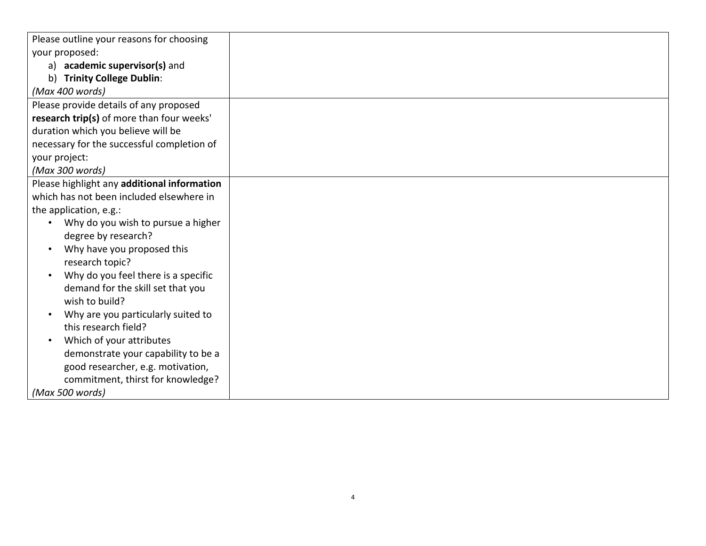|                                                  | Please outline your reasons for choosing    |
|--------------------------------------------------|---------------------------------------------|
| your proposed:                                   |                                             |
| a) academic supervisor(s) and                    |                                             |
|                                                  | b) Trinity College Dublin:                  |
| (Max 400 words)                                  |                                             |
|                                                  | Please provide details of any proposed      |
|                                                  | research trip(s) of more than four weeks'   |
|                                                  | duration which you believe will be          |
|                                                  | necessary for the successful completion of  |
| your project:                                    |                                             |
| (Max 300 words)                                  |                                             |
|                                                  | Please highlight any additional information |
|                                                  | which has not been included elsewhere in    |
| the application, e.g.:                           |                                             |
|                                                  | Why do you wish to pursue a higher          |
| degree by research?                              |                                             |
| $\bullet$                                        | Why have you proposed this                  |
|                                                  | research topic?                             |
| Why do you feel there is a specific<br>$\bullet$ |                                             |
| demand for the skill set that you                |                                             |
| wish to build?                                   |                                             |
| Why are you particularly suited to<br>$\bullet$  |                                             |
|                                                  | this research field?                        |
| $\bullet$                                        | Which of your attributes                    |
|                                                  | demonstrate your capability to be a         |
|                                                  | good researcher, e.g. motivation,           |
|                                                  | commitment, thirst for knowledge?           |
| (Max 500 words)                                  |                                             |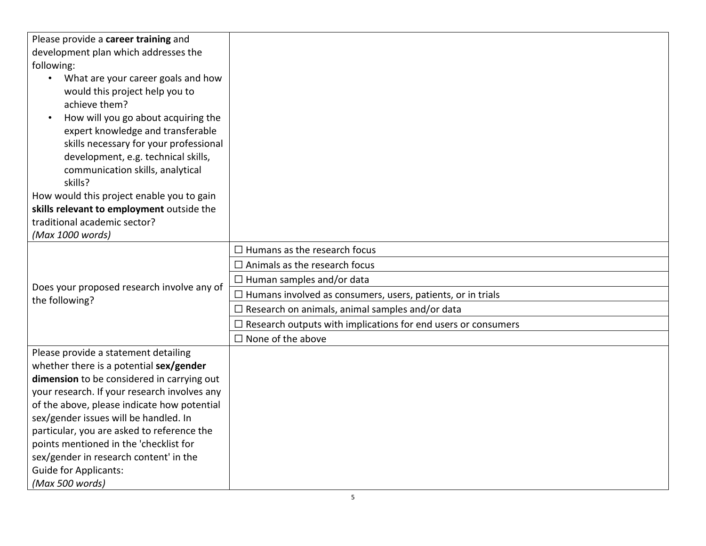| Please provide a career training and<br>development plan which addresses the<br>following:<br>What are your career goals and how<br>$\bullet$<br>would this project help you to<br>achieve them?<br>How will you go about acquiring the<br>expert knowledge and transferable<br>skills necessary for your professional<br>development, e.g. technical skills,<br>communication skills, analytical<br>skills?<br>How would this project enable you to gain<br>skills relevant to employment outside the<br>traditional academic sector? |                                                                                                                                                                                                                                                                                                                                                     |
|----------------------------------------------------------------------------------------------------------------------------------------------------------------------------------------------------------------------------------------------------------------------------------------------------------------------------------------------------------------------------------------------------------------------------------------------------------------------------------------------------------------------------------------|-----------------------------------------------------------------------------------------------------------------------------------------------------------------------------------------------------------------------------------------------------------------------------------------------------------------------------------------------------|
| (Max 1000 words)                                                                                                                                                                                                                                                                                                                                                                                                                                                                                                                       |                                                                                                                                                                                                                                                                                                                                                     |
| Does your proposed research involve any of<br>the following?                                                                                                                                                                                                                                                                                                                                                                                                                                                                           | $\Box$ Humans as the research focus<br>$\Box$ Animals as the research focus<br>$\Box$ Human samples and/or data<br>$\Box$ Humans involved as consumers, users, patients, or in trials<br>$\Box$ Research on animals, animal samples and/or data<br>$\Box$ Research outputs with implications for end users or consumers<br>$\Box$ None of the above |
| Please provide a statement detailing<br>whether there is a potential sex/gender<br>dimension to be considered in carrying out<br>your research. If your research involves any<br>of the above, please indicate how potential<br>sex/gender issues will be handled. In<br>particular, you are asked to reference the<br>points mentioned in the 'checklist for<br>sex/gender in research content' in the<br><b>Guide for Applicants:</b><br>(Max 500 words)                                                                             |                                                                                                                                                                                                                                                                                                                                                     |